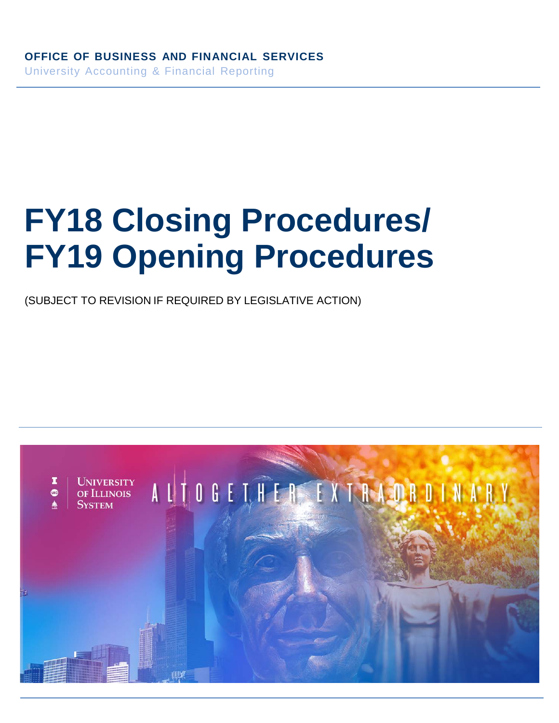# **FY18 Closing Procedures/ FY19 Opening Procedures**

(SUBJECT TO REVISION IF REQUIRED BY LEGISLATIVE ACTION)

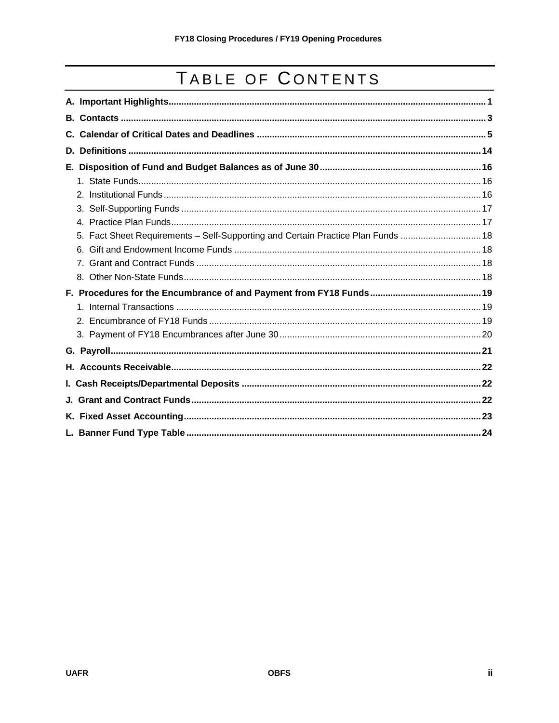# TABLE OF CONTENTS

| D. |                                                                                  |  |  |
|----|----------------------------------------------------------------------------------|--|--|
|    |                                                                                  |  |  |
|    |                                                                                  |  |  |
|    |                                                                                  |  |  |
|    |                                                                                  |  |  |
|    |                                                                                  |  |  |
|    | 5. Fact Sheet Requirements - Self-Supporting and Certain Practice Plan Funds  18 |  |  |
|    |                                                                                  |  |  |
|    |                                                                                  |  |  |
|    |                                                                                  |  |  |
|    |                                                                                  |  |  |
|    |                                                                                  |  |  |
|    |                                                                                  |  |  |
|    |                                                                                  |  |  |
|    |                                                                                  |  |  |
|    |                                                                                  |  |  |
|    |                                                                                  |  |  |
|    |                                                                                  |  |  |
|    |                                                                                  |  |  |
|    |                                                                                  |  |  |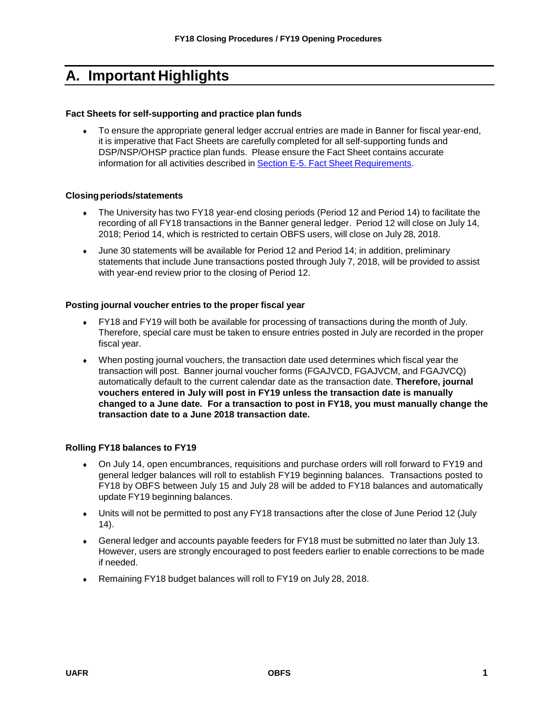# <span id="page-2-0"></span>**A. Important Highlights**

#### **Fact Sheets for self-supporting and practice plan funds**

To ensure the appropriate general ledger accrual entries are made in Banner for fiscal year-end, it is imperative that Fact Sheets are carefully completed for all self-supporting funds and DSP/NSP/OHSP practice plan funds. Please ensure the Fact Sheet contains accurate information for all activities described in Section E-5. Fact Sheet [Requirements.](#page-19-0)

#### **Closingperiods/statements**

- The University has two FY18 year-end closing periods (Period 12 and Period 14) to facilitate the recording of all FY18 transactions in the Banner general ledger. Period 12 will close on July 14, 2018; Period 14, which is restricted to certain OBFS users, will close on July 28, 2018.
- ♦ June 30 statements will be available for Period 12 and Period 14; in addition, preliminary statements that include June transactions posted through July 7, 2018, will be provided to assist with year-end review prior to the closing of Period 12.

#### **Posting journal voucher entries to the proper fiscal year**

- ♦ FY18 and FY19 will both be available for processing of transactions during the month of July. Therefore, special care must be taken to ensure entries posted in July are recorded in the proper fiscal year.
- ♦ When posting journal vouchers, the transaction date used determines which fiscal year the transaction will post. Banner journal voucher forms (FGAJVCD, FGAJVCM, and FGAJVCQ) automatically default to the current calendar date as the transaction date. **Therefore, journal vouchers entered in July will post in FY19 unless the transaction date is manually changed to a June date. For a transaction to post in FY18, you must manually change the transaction date to a June 2018 transaction date.**

#### **Rolling FY18 balances to FY19**

- ♦ On July 14, open encumbrances, requisitions and purchase orders will roll forward to FY19 and general ledger balances will roll to establish FY19 beginning balances. Transactions posted to FY18 by OBFS between July 15 and July 28 will be added to FY18 balances and automatically update FY19 beginning balances.
- ♦ Units will not be permitted to post any FY18 transactions after the close of June Period 12 (July 14).
- ♦ General ledger and accounts payable feeders for FY18 must be submitted no later than July 13. However, users are strongly encouraged to post feeders earlier to enable corrections to be made if needed.
- ♦ Remaining FY18 budget balances will roll to FY19 on July 28, 2018.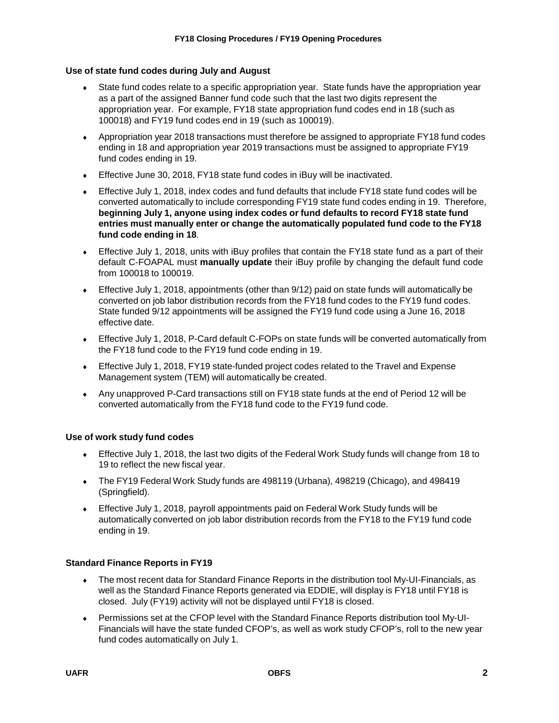### **Use of state fund codes during July and August**

- State fund codes relate to a specific appropriation year. State funds have the appropriation year as a part of the assigned Banner fund code such that the last two digits represent the appropriation year. For example, FY18 state appropriation fund codes end in 18 (such as 100018) and FY19 fund codes end in 19 (such as 100019).
- ♦ Appropriation year 2018 transactions must therefore be assigned to appropriate FY18 fund codes ending in 18 and appropriation year 2019 transactions must be assigned to appropriate FY19 fund codes ending in 19.
- ♦ Effective June 30, 2018, FY18 state fund codes in iBuy will be inactivated.
- ♦ Effective July 1, 2018, index codes and fund defaults that include FY18 state fund codes will be converted automatically to include corresponding FY19 state fund codes ending in 19. Therefore, **beginning July 1, anyone using index codes or fund defaults to record FY18 state fund entries must manually enter or change the automatically populated fund code to the FY18 fund code ending in 18**.
- ♦ Effective July 1, 2018, units with iBuy profiles that contain the FY18 state fund as a part of their default C-FOAPAL must **manually update** their iBuy profile by changing the default fund code from 100018 to 100019.
- ♦ Effective July 1, 2018, appointments (other than 9/12) paid on state funds will automatically be converted on job labor distribution records from the FY18 fund codes to the FY19 fund codes. State funded 9/12 appointments will be assigned the FY19 fund code using a June 16, 2018 effective date.
- Effective July 1, 2018, P-Card default C-FOPs on state funds will be converted automatically from the FY18 fund code to the FY19 fund code ending in 19.
- Effective July 1, 2018, FY19 state-funded project codes related to the Travel and Expense Management system (TEM) will automatically be created.
- ♦ Any unapproved P-Card transactions still on FY18 state funds at the end of Period 12 will be converted automatically from the FY18 fund code to the FY19 fund code.

#### **Use of work study fund codes**

- ♦ Effective July 1, 2018, the last two digits of the Federal Work Study funds will change from 18 to 19 to reflect the new fiscal year.
- ♦ The FY19 Federal Work Study funds are 498119 (Urbana), 498219 (Chicago), and 498419 (Springfield).
- ♦ Effective July 1, 2018, payroll appointments paid on Federal Work Study funds will be automatically converted on job labor distribution records from the FY18 to the FY19 fund code ending in 19.

# **Standard Finance Reports in FY19**

- ♦ The most recent data for Standard Finance Reports in the distribution tool My-UI-Financials, as well as the Standard Finance Reports generated via EDDIE, will display is FY18 until FY18 is closed. July (FY19) activity will not be displayed until FY18 is closed.
- ♦ Permissions set at the CFOP level with the Standard Finance Reports distribution tool My-UI-Financials will have the state funded CFOP's, as well as work study CFOP's, roll to the new year fund codes automatically on July 1.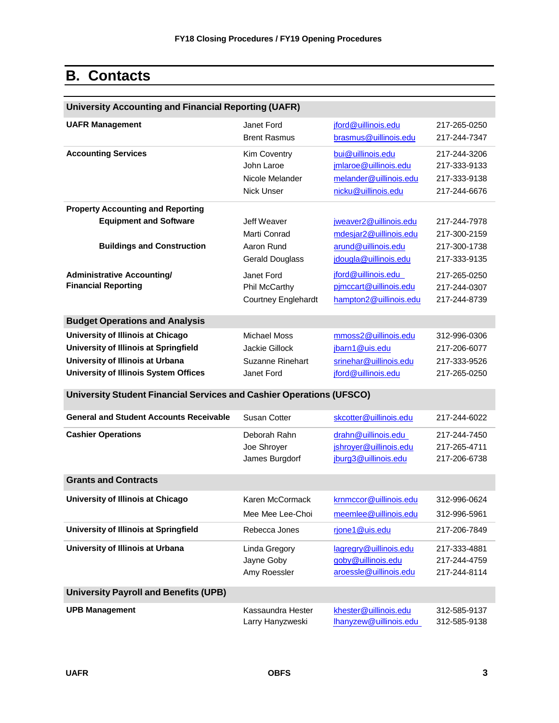# <span id="page-4-0"></span>**B. Contacts**

| <b>University Accounting and Financial Reporting (UAFR)</b>                 |                            |                        |              |
|-----------------------------------------------------------------------------|----------------------------|------------------------|--------------|
| <b>UAFR Management</b>                                                      | Janet Ford                 | jford@uillinois.edu    | 217-265-0250 |
|                                                                             | <b>Brent Rasmus</b>        | brasmus@uillinois.edu  | 217-244-7347 |
| <b>Accounting Services</b>                                                  | Kim Coventry               | bui@uillinois.edu      | 217-244-3206 |
|                                                                             | John Laroe                 | jmlaroe@uillinois.edu  | 217-333-9133 |
|                                                                             | Nicole Melander            | melander@uillinois.edu | 217-333-9138 |
|                                                                             | <b>Nick Unser</b>          | nicku@uillinois.edu    | 217-244-6676 |
| <b>Property Accounting and Reporting</b>                                    |                            |                        |              |
| <b>Equipment and Software</b>                                               | Jeff Weaver                | jweaver2@uillinois.edu | 217-244-7978 |
|                                                                             | Marti Conrad               | mdesjar2@uillinois.edu | 217-300-2159 |
| <b>Buildings and Construction</b>                                           | Aaron Rund                 | arund@uillinois.edu    | 217-300-1738 |
|                                                                             | <b>Gerald Douglass</b>     | jdougla@uillinois.edu  | 217-333-9135 |
| <b>Administrative Accounting/</b>                                           | Janet Ford                 | jford@uillinois.edu    | 217-265-0250 |
| <b>Financial Reporting</b>                                                  | Phil McCarthy              | pimccart@uillinois.edu | 217-244-0307 |
|                                                                             | <b>Courtney Englehardt</b> | hampton2@uillinois.edu | 217-244-8739 |
| <b>Budget Operations and Analysis</b>                                       |                            |                        |              |
| University of Illinois at Chicago                                           | <b>Michael Moss</b>        | mmoss2@uillinois.edu   | 312-996-0306 |
| University of Illinois at Springfield                                       | Jackie Gillock             | jbarn1@uis.edu         | 217-206-6077 |
| University of Illinois at Urbana                                            | <b>Suzanne Rinehart</b>    | srinehar@uillinois.edu | 217-333-9526 |
| <b>University of Illinois System Offices</b>                                | Janet Ford                 | jford@uillinois.edu    | 217-265-0250 |
| <b>University Student Financial Services and Cashier Operations (UFSCO)</b> |                            |                        |              |
|                                                                             |                            |                        |              |
| <b>General and Student Accounts Receivable</b>                              | Susan Cotter               | skcotter@uillinois.edu | 217-244-6022 |
| <b>Cashier Operations</b>                                                   | Deborah Rahn               | drahn@uillinois.edu    | 217-244-7450 |
|                                                                             | Joe Shroyer                | jshroyer@uillinois.edu | 217-265-4711 |
|                                                                             | James Burgdorf             | jburg3@uillinois.edu   | 217-206-6738 |
| <b>Grants and Contracts</b>                                                 |                            |                        |              |
| University of Illinois at Chicago                                           | Karen McCormack            | krnmccor@uillinois.edu | 312-996-0624 |
|                                                                             | Mee Mee Lee-Choi           | meemlee@uillinois.edu  | 312-996-5961 |
| University of Illinois at Springfield                                       | Rebecca Jones              | rjone1@uis.edu         | 217-206-7849 |
| University of Illinois at Urbana                                            | Linda Gregory              | lagregry@uillinois.edu | 217-333-4881 |
|                                                                             | Jayne Goby                 | goby@uillinois.edu     | 217-244-4759 |
|                                                                             | Amy Roessler               | aroessle@uillinois.edu | 217-244-8114 |
| <b>University Payroll and Benefits (UPB)</b>                                |                            |                        |              |
| <b>UPB Management</b>                                                       | Kassaundra Hester          | khester@uillinois.edu  | 312-585-9137 |
|                                                                             | Larry Hanyzweski           | Ihanyzew@uillinois.edu | 312-585-9138 |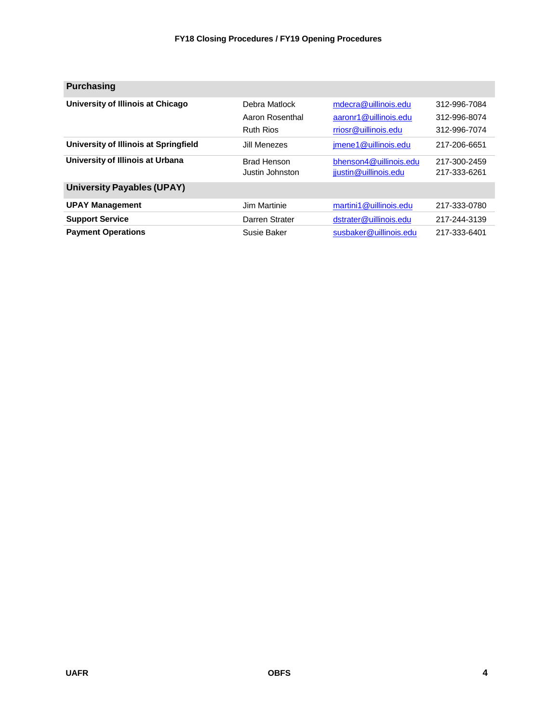| <b>Purchasing</b>                     |                    |                        |              |
|---------------------------------------|--------------------|------------------------|--------------|
| University of Illinois at Chicago     | Debra Matlock      | mdecra@uillinois.edu   | 312-996-7084 |
|                                       | Aaron Rosenthal    | aaronr1@uillinois.edu  | 312-996-8074 |
|                                       | <b>Ruth Rios</b>   | rriosr@uillinois.edu   | 312-996-7074 |
| University of Illinois at Springfield | Jill Menezes       | jmene1@uillinois.edu   | 217-206-6651 |
| University of Illinois at Urbana      | <b>Brad Henson</b> | bhenson4@uillinois.edu | 217-300-2459 |
|                                       | Justin Johnston    | jjustin@uillinois.edu  | 217-333-6261 |
| <b>University Payables (UPAY)</b>     |                    |                        |              |
| <b>UPAY Management</b>                | Jim Martinie       | martini1@uillinois.edu | 217-333-0780 |
| <b>Support Service</b>                | Darren Strater     | dstrater@uillinois.edu | 217-244-3139 |
| <b>Payment Operations</b>             | Susie Baker        | susbaker@uillinois.edu | 217-333-6401 |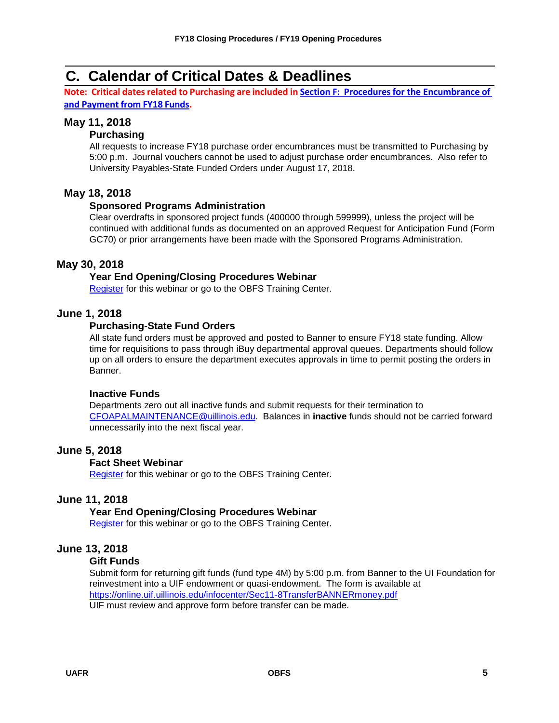# <span id="page-6-0"></span>**C. Calendar of Critical Dates & Deadlines**

**Note: Critical datesrelated to Purchasing are included in Section F: Proceduresfor [the Encumbrance](#page-20-1) of and [Payment](#page-20-1) from FY18 Funds.**

# **May 11, 2018**

# **Purchasing**

All requests to increase FY18 purchase order encumbrances must be transmitted to Purchasing by 5:00 p.m. Journal vouchers cannot be used to adjust purchase order encumbrances. Also refer to University Payables-State Funded Orders under August 17, 2018.

# **May 18, 2018**

# **Sponsored Programs Administration**

Clear overdrafts in sponsored project funds (400000 through 599999), unless the project will be continued with additional funds as documented on an approved Request for Anticipation Fund (Form GC70) or prior arrangements have been made with the Sponsored Programs Administration.

# **May 30, 2018**

# **Year End Opening/Closing Procedures Webinar**

[Register](https://training.obfs.uillinois.edu/index.cfm?campus=w) for this webinar or go to the OBFS Training Center.

# **June 1, 2018**

# **Purchasing-State Fund Orders**

All state fund orders must be approved and posted to Banner to ensure FY18 state funding. Allow time for requisitions to pass through iBuy departmental approval queues. Departments should follow up on all orders to ensure the department executes approvals in time to permit posting the orders in Banner.

# **Inactive Funds**

Departments zero out all inactive funds and submit requests for their termination to [CFOAPALMAINTENANCE@uillinois.edu.](mailto:CFOAPALMAINTENANCE@uillinois.edu) Balances in **inactive** funds should not be carried forward unnecessarily into the next fiscal year.

# **June 5, 2018**

# **Fact Sheet Webinar**

[Register](https://training.obfs.uillinois.edu/index.cfm?campus=w) for this webinar or go to the OBFS Training Center.

# **June 11, 2018**

# **Year End Opening/Closing Procedures Webinar**

[Register](https://training.obfs.uillinois.edu/index.cfm?campus=w) for this webinar or go to the OBFS Training Center.

# **June 13, 2018**

#### **Gift Funds**

Submit form for returning gift funds (fund type 4M) by 5:00 p.m. from Banner to the UI Foundation for reinvestment into a UIF endowment or quasi-endowment. The form is available at <https://online.uif.uillinois.edu/infocenter/Sec11-8TransferBANNERmoney.pdf> UIF must review and approve form before transfer can be made.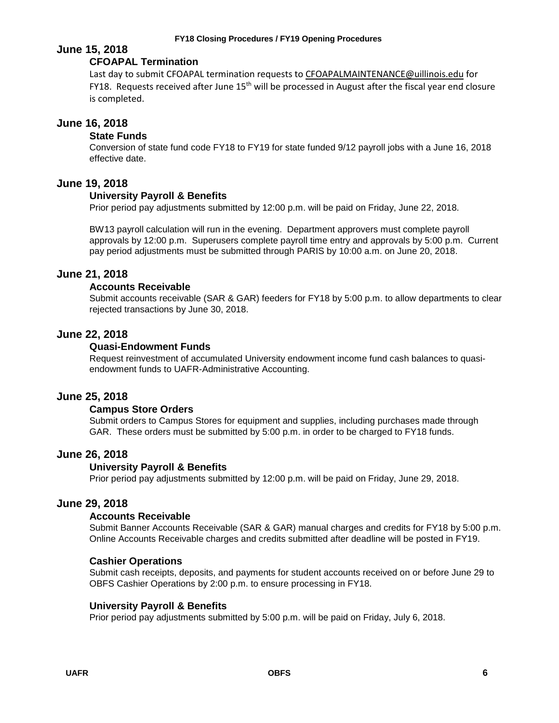#### **FY18 Closing Procedures / FY19 Opening Procedures**

# **June 15, 2018**

# **CFOAPAL Termination**

Last day to submit CFOAPAL termination requests t[o CFOAPALMAINTENANCE@uillinois.edu](mailto:CFOAPALMAINTENANCE@uillinois.edu) for FY18. Requests received after June 15<sup>th</sup> will be processed in August after the fiscal year end closure is completed.

# **June 16, 2018**

# **State Funds**

Conversion of state fund code FY18 to FY19 for state funded 9/12 payroll jobs with a June 16, 2018 effective date.

# **June 19, 2018**

# **University Payroll & Benefits**

Prior period pay adjustments submitted by 12:00 p.m. will be paid on Friday, June 22, 2018.

BW13 payroll calculation will run in the evening. Department approvers must complete payroll approvals by 12:00 p.m. Superusers complete payroll time entry and approvals by 5:00 p.m. Current pay period adjustments must be submitted through PARIS by 10:00 a.m. on June 20, 2018.

# **June 21, 2018**

# **Accounts Receivable**

Submit accounts receivable (SAR & GAR) feeders for FY18 by 5:00 p.m. to allow departments to clear rejected transactions by June 30, 2018.

# **June 22, 2018**

# **Quasi-Endowment Funds**

Request reinvestment of accumulated University endowment income fund cash balances to quasiendowment funds to UAFR-Administrative Accounting.

# **June 25, 2018**

# **Campus Store Orders**

Submit orders to Campus Stores for equipment and supplies, including purchases made through GAR. These orders must be submitted by 5:00 p.m. in order to be charged to FY18 funds.

# **June 26, 2018**

# **University Payroll & Benefits**

Prior period pay adjustments submitted by 12:00 p.m. will be paid on Friday, June 29, 2018.

# **June 29, 2018**

# **Accounts Receivable**

Submit Banner Accounts Receivable (SAR & GAR) manual charges and credits for FY18 by 5:00 p.m. Online Accounts Receivable charges and credits submitted after deadline will be posted in FY19.

# **Cashier Operations**

Submit cash receipts, deposits, and payments for student accounts received on or before June 29 to OBFS Cashier Operations by 2:00 p.m. to ensure processing in FY18.

# **University Payroll & Benefits**

Prior period pay adjustments submitted by 5:00 p.m. will be paid on Friday, July 6, 2018.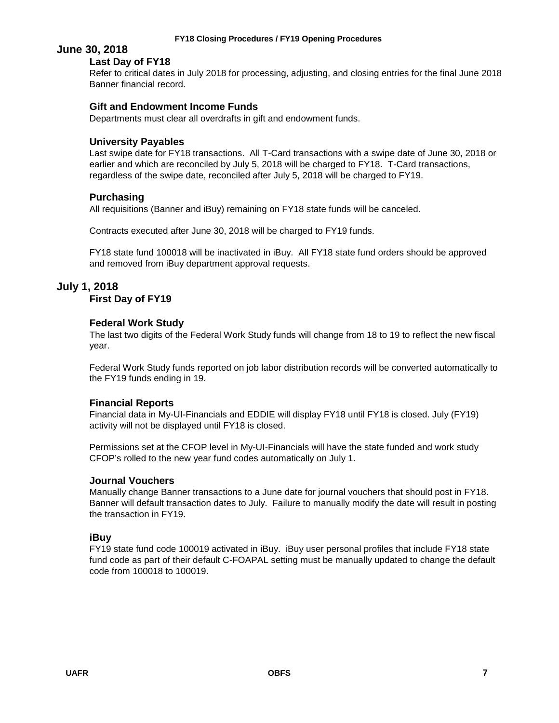# **June 30, 2018**

# **Last Day of FY18**

Refer to critical dates in July 2018 for processing, adjusting, and closing entries for the final June 2018 Banner financial record.

### **Gift and Endowment Income Funds**

Departments must clear all overdrafts in gift and endowment funds.

### **University Payables**

Last swipe date for FY18 transactions. All T-Card transactions with a swipe date of June 30, 2018 or earlier and which are reconciled by July 5, 2018 will be charged to FY18. T-Card transactions, regardless of the swipe date, reconciled after July 5, 2018 will be charged to FY19.

# **Purchasing**

All requisitions (Banner and iBuy) remaining on FY18 state funds will be canceled.

Contracts executed after June 30, 2018 will be charged to FY19 funds.

FY18 state fund 100018 will be inactivated in iBuy. All FY18 state fund orders should be approved and removed from iBuy department approval requests.

# **July 1, 2018**

### **First Day of FY19**

### **Federal Work Study**

The last two digits of the Federal Work Study funds will change from 18 to 19 to reflect the new fiscal year.

Federal Work Study funds reported on job labor distribution records will be converted automatically to the FY19 funds ending in 19.

# **Financial Reports**

Financial data in My-UI-Financials and EDDIE will display FY18 until FY18 is closed. July (FY19) activity will not be displayed until FY18 is closed.

Permissions set at the CFOP level in My-UI-Financials will have the state funded and work study CFOP's rolled to the new year fund codes automatically on July 1.

#### **Journal Vouchers**

Manually change Banner transactions to a June date for journal vouchers that should post in FY18. Banner will default transaction dates to July. Failure to manually modify the date will result in posting the transaction in FY19.

# **iBuy**

FY19 state fund code 100019 activated in iBuy. iBuy user personal profiles that include FY18 state fund code as part of their default C-FOAPAL setting must be manually updated to change the default code from 100018 to 100019.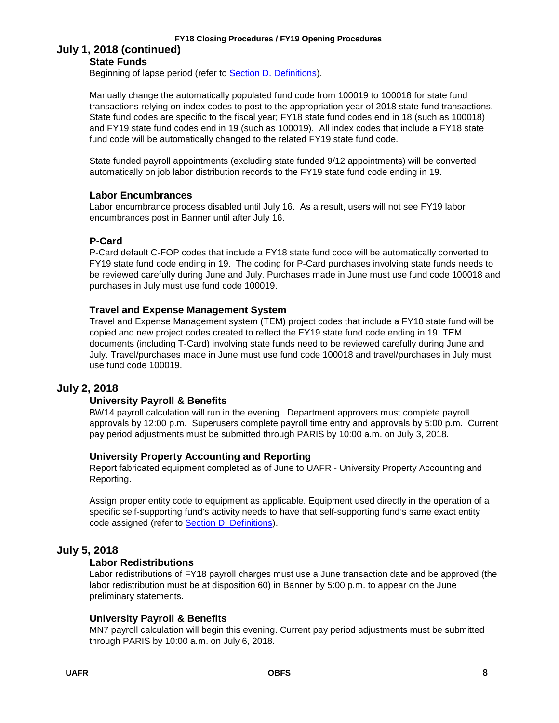#### **FY18 Closing Procedures / FY19 Opening Procedures**

# **July 1, 2018 (continued) State Funds**

Beginning of lapse period (refer to [Section D. Definitions\)](#page-15-0).

Manually change the automatically populated fund code from 100019 to 100018 for state fund transactions relying on index codes to post to the appropriation year of 2018 state fund transactions. State fund codes are specific to the fiscal year; FY18 state fund codes end in 18 (such as 100018) and FY19 state fund codes end in 19 (such as 100019). All index codes that include a FY18 state fund code will be automatically changed to the related FY19 state fund code.

State funded payroll appointments (excluding state funded 9/12 appointments) will be converted automatically on job labor distribution records to the FY19 state fund code ending in 19.

# **Labor Encumbrances**

Labor encumbrance process disabled until July 16. As a result, users will not see FY19 labor encumbrances post in Banner until after July 16.

# **P-Card**

P-Card default C-FOP codes that include a FY18 state fund code will be automatically converted to FY19 state fund code ending in 19. The coding for P-Card purchases involving state funds needs to be reviewed carefully during June and July. Purchases made in June must use fund code 100018 and purchases in July must use fund code 100019.

# **Travel and Expense Management System**

Travel and Expense Management system (TEM) project codes that include a FY18 state fund will be copied and new project codes created to reflect the FY19 state fund code ending in 19. TEM documents (including T-Card) involving state funds need to be reviewed carefully during June and July. Travel/purchases made in June must use fund code 100018 and travel/purchases in July must use fund code 100019.

# **July 2, 2018**

# **University Payroll & Benefits**

BW14 payroll calculation will run in the evening. Department approvers must complete payroll approvals by 12:00 p.m. Superusers complete payroll time entry and approvals by 5:00 p.m. Current pay period adjustments must be submitted through PARIS by 10:00 a.m. on July 3, 2018.

# **University Property Accounting and Reporting**

Report fabricated equipment completed as of June to UAFR - University Property Accounting and Reporting.

Assign proper entity code to equipment as applicable. Equipment used directly in the operation of a specific self-supporting fund's activity needs to have that self-supporting fund's same exact entity code assigned (refer to [Section D. Definitions\)](#page-15-0).

# **July 5, 2018**

# **Labor Redistributions**

Labor redistributions of FY18 payroll charges must use a June transaction date and be approved (the labor redistribution must be at disposition 60) in Banner by 5:00 p.m. to appear on the June preliminary statements.

# **University Payroll & Benefits**

MN7 payroll calculation will begin this evening. Current pay period adjustments must be submitted through PARIS by 10:00 a.m. on July 6, 2018.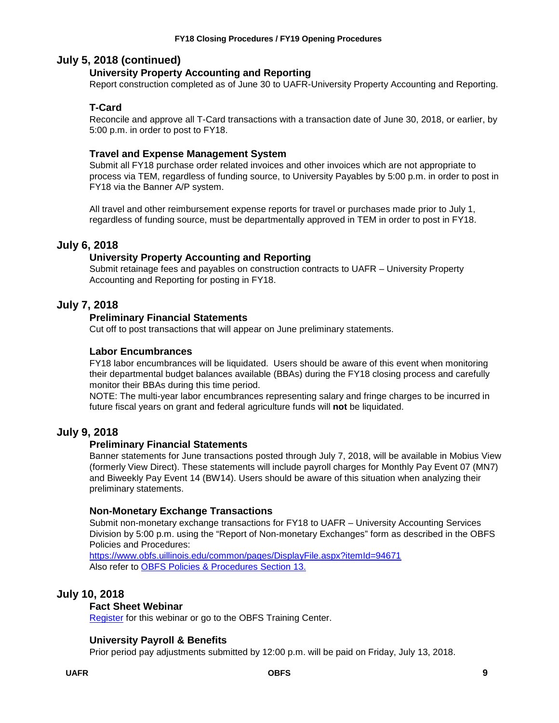# **July 5, 2018 (continued)**

# **University Property Accounting and Reporting**

Report construction completed as of June 30 to UAFR-University Property Accounting and Reporting.

# **T-Card**

Reconcile and approve all T-Card transactions with a transaction date of June 30, 2018, or earlier, by 5:00 p.m. in order to post to FY18.

# **Travel and Expense Management System**

Submit all FY18 purchase order related invoices and other invoices which are not appropriate to process via TEM, regardless of funding source, to University Payables by 5:00 p.m. in order to post in FY18 via the Banner A/P system.

All travel and other reimbursement expense reports for travel or purchases made prior to July 1, regardless of funding source, must be departmentally approved in TEM in order to post in FY18.

# **July 6, 2018**

# **University Property Accounting and Reporting**

Submit retainage fees and payables on construction contracts to UAFR – University Property Accounting and Reporting for posting in FY18.

# **July 7, 2018**

# **Preliminary Financial Statements**

Cut off to post transactions that will appear on June preliminary statements.

# **Labor Encumbrances**

FY18 labor encumbrances will be liquidated. Users should be aware of this event when monitoring their departmental budget balances available (BBAs) during the FY18 closing process and carefully monitor their BBAs during this time period.

NOTE: The multi-year labor encumbrances representing salary and fringe charges to be incurred in future fiscal years on grant and federal agriculture funds will **not** be liquidated.

# **July 9, 2018**

# **Preliminary Financial Statements**

Banner statements for June transactions posted through July 7, 2018, will be available in Mobius View (formerly View Direct). These statements will include payroll charges for Monthly Pay Event 07 (MN7) and Biweekly Pay Event 14 (BW14). Users should be aware of this situation when analyzing their preliminary statements.

# **Non-Monetary Exchange Transactions**

Submit non-monetary exchange transactions for FY18 to UAFR – University Accounting Services Division by 5:00 p.m. using the "Report of Non-monetary Exchanges" form as described in the OBFS Policies and Procedures:

<https://www.obfs.uillinois.edu/common/pages/DisplayFile.aspx?itemId=94671> Also refer to [OBFS Policies & Procedures Section 13.](https://www.obfs.uillinois.edu/bfpp/section-13-accounting/non-monetary-exchange-faqs)

# **July 10, 2018**

# **Fact Sheet Webinar**

[Register](https://training.obfs.uillinois.edu/index.cfm?campus=w) for this webinar or go to the OBFS Training Center.

# **University Payroll & Benefits**

Prior period pay adjustments submitted by 12:00 p.m. will be paid on Friday, July 13, 2018.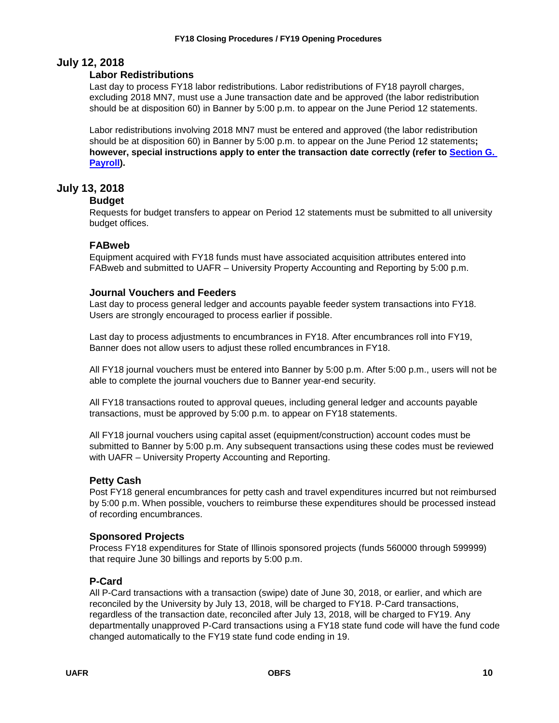# **July 12, 2018**

# **Labor Redistributions**

Last day to process FY18 labor redistributions. Labor redistributions of FY18 payroll charges, excluding 2018 MN7, must use a June transaction date and be approved (the labor redistribution should be at disposition 60) in Banner by 5:00 p.m. to appear on the June Period 12 statements.

Labor redistributions involving 2018 MN7 must be entered and approved (the labor redistribution should be at disposition 60) in Banner by 5:00 p.m. to appear on the June Period 12 statements**; however, special instructions apply to enter the transaction date correctly (refer to [Section G.](#page-22-0)  [Payroll\)](#page-22-0).**

# **July 13, 2018**

# **Budget**

Requests for budget transfers to appear on Period 12 statements must be submitted to all university budget offices.

# **FABweb**

Equipment acquired with FY18 funds must have associated acquisition attributes entered into FABweb and submitted to UAFR – University Property Accounting and Reporting by 5:00 p.m.

# **Journal Vouchers and Feeders**

Last day to process general ledger and accounts payable feeder system transactions into FY18. Users are strongly encouraged to process earlier if possible.

Last day to process adjustments to encumbrances in FY18. After encumbrances roll into FY19, Banner does not allow users to adjust these rolled encumbrances in FY18.

All FY18 journal vouchers must be entered into Banner by 5:00 p.m. After 5:00 p.m., users will not be able to complete the journal vouchers due to Banner year-end security.

All FY18 transactions routed to approval queues, including general ledger and accounts payable transactions, must be approved by 5:00 p.m. to appear on FY18 statements.

All FY18 journal vouchers using capital asset (equipment/construction) account codes must be submitted to Banner by 5:00 p.m. Any subsequent transactions using these codes must be reviewed with UAFR – University Property Accounting and Reporting.

# **Petty Cash**

Post FY18 general encumbrances for petty cash and travel expenditures incurred but not reimbursed by 5:00 p.m. When possible, vouchers to reimburse these expenditures should be processed instead of recording encumbrances.

# **Sponsored Projects**

Process FY18 expenditures for State of Illinois sponsored projects (funds 560000 through 599999) that require June 30 billings and reports by 5:00 p.m.

# **P-Card**

All P-Card transactions with a transaction (swipe) date of June 30, 2018, or earlier, and which are reconciled by the University by July 13, 2018, will be charged to FY18. P-Card transactions, regardless of the transaction date, reconciled after July 13, 2018, will be charged to FY19. Any departmentally unapproved P-Card transactions using a FY18 state fund code will have the fund code changed automatically to the FY19 state fund code ending in 19.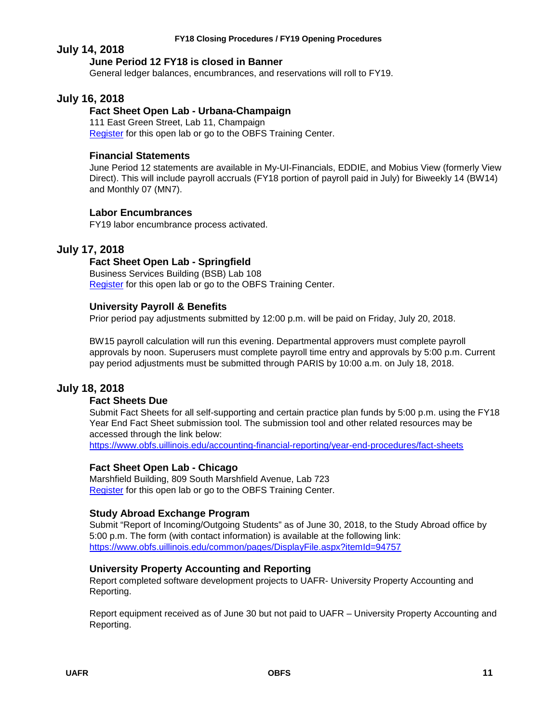#### **FY18 Closing Procedures / FY19 Opening Procedures**

# **July 14, 2018**

# **June Period 12 FY18 is closed in Banner**

General ledger balances, encumbrances, and reservations will roll to FY19.

# **July 16, 2018**

# **Fact Sheet Open Lab - Urbana-Champaign**

111 East Green Street, Lab 11, Champaign [Register](https://www.obfs.uillinois.edu/cms/One.aspx?portalId=77176&pageId=1229715) for this open lab or go to the OBFS Training Center.

# **Financial Statements**

June Period 12 statements are available in My-UI-Financials, EDDIE, and Mobius View (formerly View Direct). This will include payroll accruals (FY18 portion of payroll paid in July) for Biweekly 14 (BW14) and Monthly 07 (MN7).

# **Labor Encumbrances**

FY19 labor encumbrance process activated.

# **July 17, 2018**

# **Fact Sheet Open Lab - Springfield**

Business Services Building (BSB) Lab 108 [Register](https://www.obfs.uillinois.edu/cms/One.aspx?portalId=77176&pageId=1229721) for this open lab or go to the OBFS Training Center.

# **University Payroll & Benefits**

Prior period pay adjustments submitted by 12:00 p.m. will be paid on Friday, July 20, 2018.

BW15 payroll calculation will run this evening. Departmental approvers must complete payroll approvals by noon. Superusers must complete payroll time entry and approvals by 5:00 p.m. Current pay period adjustments must be submitted through PARIS by 10:00 a.m. on July 18, 2018.

# **July 18, 2018**

# **Fact Sheets Due**

Submit Fact Sheets for all self-supporting and certain practice plan funds by 5:00 p.m. using the FY18 Year End Fact Sheet submission tool. The submission tool and other related resources may be accessed through the link below:

<https://www.obfs.uillinois.edu/accounting-financial-reporting/year-end-procedures/fact-sheets>

# **Fact Sheet Open Lab - Chicago**

Marshfield Building, 809 South Marshfield Avenue, Lab 723 [Register](https://www.obfs.uillinois.edu/cms/One.aspx?portalId=77176&pageId=1229728) for this open lab or go to the OBFS Training Center.

# **Study Abroad Exchange Program**

Submit "Report of Incoming/Outgoing Students" as of June 30, 2018, to the Study Abroad office by 5:00 p.m. The form (with contact information) is available at the following link: <https://www.obfs.uillinois.edu/common/pages/DisplayFile.aspx?itemId=94757>

# **University Property Accounting and Reporting**

Report completed software development projects to UAFR- University Property Accounting and Reporting.

Report equipment received as of June 30 but not paid to UAFR – University Property Accounting and Reporting.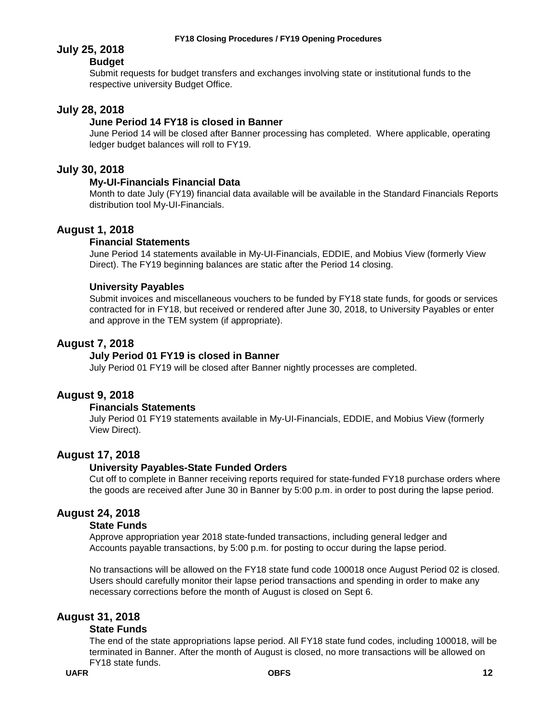# **July 25, 2018**

# **Budget**

Submit requests for budget transfers and exchanges involving state or institutional funds to the respective university Budget Office.

# **July 28, 2018**

# **June Period 14 FY18 is closed in Banner**

June Period 14 will be closed after Banner processing has completed. Where applicable, operating ledger budget balances will roll to FY19.

# **July 30, 2018**

# **My-UI-Financials Financial Data**

Month to date July (FY19) financial data available will be available in the Standard Financials Reports distribution tool My-UI-Financials.

# **August 1, 2018**

### **Financial Statements**

June Period 14 statements available in My-UI-Financials, EDDIE, and Mobius View (formerly View Direct). The FY19 beginning balances are static after the Period 14 closing.

### **University Payables**

Submit invoices and miscellaneous vouchers to be funded by FY18 state funds, for goods or services contracted for in FY18, but received or rendered after June 30, 2018, to University Payables or enter and approve in the TEM system (if appropriate).

# **August 7, 2018**

### **July Period 01 FY19 is closed in Banner**

July Period 01 FY19 will be closed after Banner nightly processes are completed.

# **August 9, 2018**

#### **Financials Statements**

July Period 01 FY19 statements available in My-UI-Financials, EDDIE, and Mobius View (formerly View Direct).

# **August 17, 2018**

#### **University Payables-State Funded Orders**

Cut off to complete in Banner receiving reports required for state-funded FY18 purchase orders where the goods are received after June 30 in Banner by 5:00 p.m. in order to post during the lapse period.

# **August 24, 2018**

### **State Funds**

Approve appropriation year 2018 state-funded transactions, including general ledger and Accounts payable transactions, by 5:00 p.m. for posting to occur during the lapse period.

No transactions will be allowed on the FY18 state fund code 100018 once August Period 02 is closed. Users should carefully monitor their lapse period transactions and spending in order to make any necessary corrections before the month of August is closed on Sept 6.

# **August 31, 2018**

#### **State Funds**

The end of the state appropriations lapse period. All FY18 state fund codes, including 100018, will be terminated in Banner. After the month of August is closed, no more transactions will be allowed on FY18 state funds.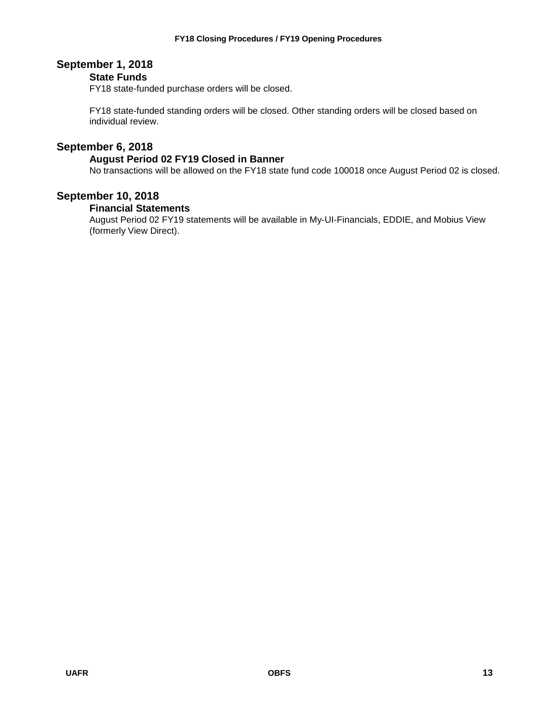# **September 1, 2018**

# **State Funds**

FY18 state-funded purchase orders will be closed.

FY18 state-funded standing orders will be closed. Other standing orders will be closed based on individual review.

# **September 6, 2018**

### **August Period 02 FY19 Closed in Banner**

No transactions will be allowed on the FY18 state fund code 100018 once August Period 02 is closed.

# **September 10, 2018**

### **Financial Statements**

August Period 02 FY19 statements will be available in My-UI-Financials, EDDIE, and Mobius View (formerly View Direct).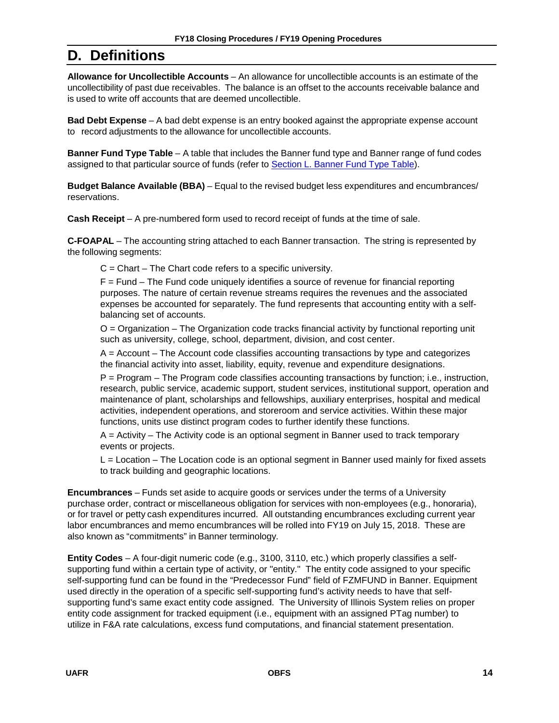# <span id="page-15-0"></span>**D. Definitions**

**Allowance for Uncollectible Accounts** – An allowance for uncollectible accounts is an estimate of the uncollectibility of past due receivables. The balance is an offset to the accounts receivable balance and is used to write off accounts that are deemed uncollectible.

**Bad Debt Expense** – A bad debt expense is an entry booked against the appropriate expense account to record adjustments to the allowance for uncollectible accounts.

**Banner Fund Type Table** – A table that includes the Banner fund type and Banner range of fund codes assigned to that particular source of funds (refer to [Section](#page-25-0) L. Banner Fund Type Table).

**Budget Balance Available (BBA)** – Equal to the revised budget less expenditures and encumbrances/ reservations.

**Cash Receipt** – A pre-numbered form used to record receipt of funds at the time of sale.

**C-FOAPAL** – The accounting string attached to each Banner transaction. The string is represented by the following segments:

 $C =$  Chart – The Chart code refers to a specific university.

F = Fund – The Fund code uniquely identifies a source of revenue for financial reporting purposes. The nature of certain revenue streams requires the revenues and the associated expenses be accounted for separately. The fund represents that accounting entity with a selfbalancing set of accounts.

O = Organization – The Organization code tracks financial activity by functional reporting unit such as university, college, school, department, division, and cost center.

A = Account – The Account code classifies accounting transactions by type and categorizes the financial activity into asset, liability, equity, revenue and expenditure designations.

P = Program – The Program code classifies accounting transactions by function; i.e., instruction, research, public service, academic support, student services, institutional support, operation and maintenance of plant, scholarships and fellowships, auxiliary enterprises, hospital and medical activities, independent operations, and storeroom and service activities. Within these major functions, units use distinct program codes to further identify these functions.

 $A =$  Activity – The Activity code is an optional segment in Banner used to track temporary events or projects.

L = Location – The Location code is an optional segment in Banner used mainly for fixed assets to track building and geographic locations.

**Encumbrances** – Funds set aside to acquire goods or services under the terms of a University purchase order, contract or miscellaneous obligation for services with non-employees (e.g., honoraria), or for travel or petty cash expenditures incurred. All outstanding encumbrances excluding current year labor encumbrances and memo encumbrances will be rolled into FY19 on July 15, 2018. These are also known as "commitments" in Banner terminology.

**Entity Codes** – A four-digit numeric code (e.g., 3100, 3110, etc.) which properly classifies a selfsupporting fund within a certain type of activity, or "entity." The entity code assigned to your specific self-supporting fund can be found in the "Predecessor Fund" field of FZMFUND in Banner. Equipment used directly in the operation of a specific self-supporting fund's activity needs to have that selfsupporting fund's same exact entity code assigned. The University of Illinois System relies on proper entity code assignment for tracked equipment (i.e., equipment with an assigned PTag number) to utilize in F&A rate calculations, excess fund computations, and financial statement presentation.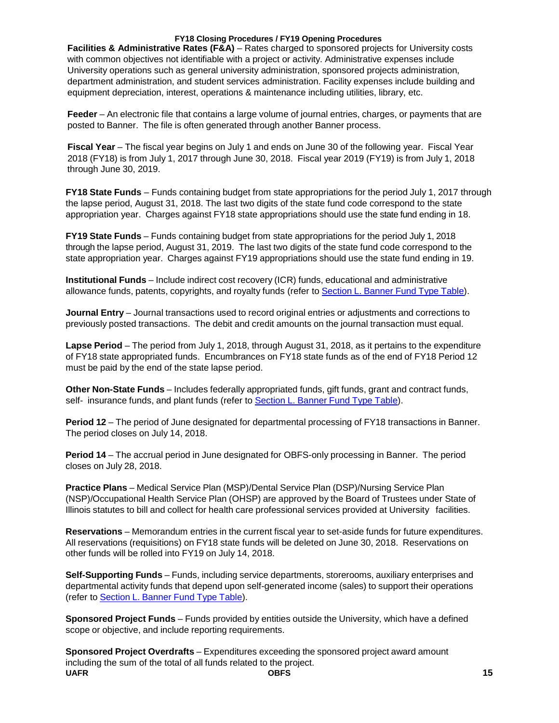#### **FY18 Closing Procedures / FY19 Opening Procedures**

**Facilities & Administrative Rates (F&A)** – Rates charged to sponsored projects for University costs with common objectives not identifiable with a project or activity. Administrative expenses include University operations such as general university administration, sponsored projects administration, department administration, and student services administration. Facility expenses include building and equipment depreciation, interest, operations & maintenance including utilities, library, etc.

**Feeder** – An electronic file that contains a large volume of journal entries, charges, or payments that are posted to Banner. The file is often generated through another Banner process.

**Fiscal Year** – The fiscal year begins on July 1 and ends on June 30 of the following year. Fiscal Year 2018 (FY18) is from July 1, 2017 through June 30, 2018. Fiscal year 2019 (FY19) is from July 1, 2018 through June 30, 2019.

**FY18 State Funds** – Funds containing budget from state appropriations for the period July 1, 2017 through the lapse period, August 31, 2018. The last two digits of the state fund code correspond to the state appropriation year. Charges against FY18 state appropriations should use the state fund ending in 18.

**FY19 State Funds** – Funds containing budget from state appropriations for the period July 1, 2018 through the lapse period, August 31, 2019. The last two digits of the state fund code correspond to the state appropriation year. Charges against FY19 appropriations should use the state fund ending in 19.

**Institutional Funds** – Include indirect cost recovery (ICR) funds, educational and administrative allowance funds, patents, copyrights, and royalty funds (refer to [Section](#page-25-0) L. Banner Fund Type Table).

**Journal Entry** – Journal transactions used to record original entries or adjustments and corrections to previously posted transactions. The debit and credit amounts on the journal transaction must equal.

**Lapse Period** – The period from July 1, 2018, through August 31, 2018, as it pertains to the expenditure of FY18 state appropriated funds. Encumbrances on FY18 state funds as of the end of FY18 Period 12 must be paid by the end of the state lapse period.

**Other Non-State Funds** – Includes federally appropriated funds, gift funds, grant and contract funds, self- insurance funds, and plant funds (refer to [Section](#page-25-0) L. Banner Fund Type Table).

**Period 12** – The period of June designated for departmental processing of FY18 transactions in Banner. The period closes on July 14, 2018.

**Period 14** – The accrual period in June designated for OBFS-only processing in Banner. The period closes on July 28, 2018.

**Practice Plans** – Medical Service Plan (MSP)/Dental Service Plan (DSP)/Nursing Service Plan (NSP)/Occupational Health Service Plan (OHSP) are approved by the Board of Trustees under State of Illinois statutes to bill and collect for health care professional services provided at University facilities.

**Reservations** – Memorandum entries in the current fiscal year to set-aside funds for future expenditures. All reservations (requisitions) on FY18 state funds will be deleted on June 30, 2018. Reservations on other funds will be rolled into FY19 on July 14, 2018.

**Self-Supporting Funds** – Funds, including service departments, storerooms, auxiliary enterprises and departmental activity funds that depend upon self-generated income (sales) to support their operations (refer to [Section](#page-25-0) L. Banner Fund Type Table).

**Sponsored Project Funds** – Funds provided by entities outside the University, which have a defined scope or objective, and include reporting requirements.

**UAFR OBFS 15 Sponsored Project Overdrafts** – Expenditures exceeding the sponsored project award amount including the sum of the total of all funds related to the project.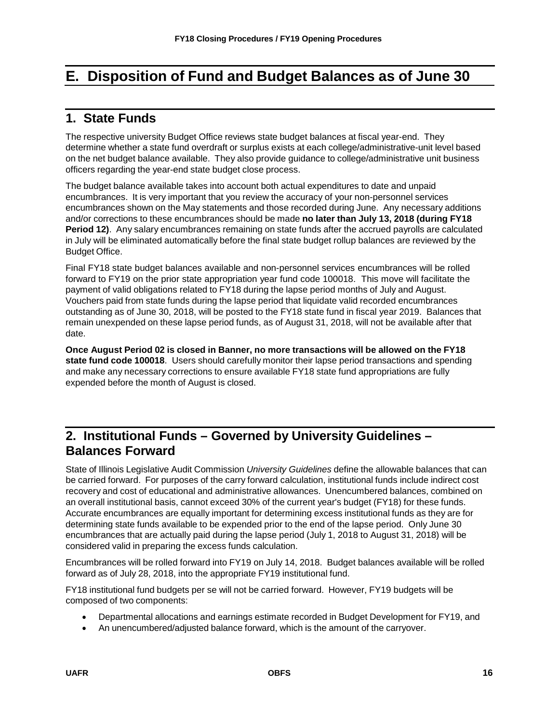# <span id="page-17-0"></span>**E. Disposition of Fund and Budget Balances as of June 30**

# <span id="page-17-1"></span>**1. State Funds**

The respective university Budget Office reviews state budget balances at fiscal year-end. They determine whether a state fund overdraft or surplus exists at each college/administrative-unit level based on the net budget balance available. They also provide guidance to college/administrative unit business officers regarding the year-end state budget close process.

The budget balance available takes into account both actual expenditures to date and unpaid encumbrances. It is very important that you review the accuracy of your non-personnel services encumbrances shown on the May statements and those recorded during June. Any necessary additions and/or corrections to these encumbrances should be made **no later than July 13, 2018 (during FY18 Period 12)**. Any salary encumbrances remaining on state funds after the accrued payrolls are calculated in July will be eliminated automatically before the final state budget rollup balances are reviewed by the Budget Office.

Final FY18 state budget balances available and non-personnel services encumbrances will be rolled forward to FY19 on the prior state appropriation year fund code 100018. This move will facilitate the payment of valid obligations related to FY18 during the lapse period months of July and August. Vouchers paid from state funds during the lapse period that liquidate valid recorded encumbrances outstanding as of June 30, 2018, will be posted to the FY18 state fund in fiscal year 2019. Balances that remain unexpended on these lapse period funds, as of August 31, 2018, will not be available after that date.

**Once August Period 02 is closed in Banner, no more transactions will be allowed on the FY18 state fund code 100018**. Users should carefully monitor their lapse period transactions and spending and make any necessary corrections to ensure available FY18 state fund appropriations are fully expended before the month of August is closed.

# <span id="page-17-2"></span>**2. Institutional Funds – Governed by University Guidelines – Balances Forward**

State of Illinois Legislative Audit Commission *University Guidelines* define the allowable balances that can be carried forward. For purposes of the carry forward calculation, institutional funds include indirect cost recovery and cost of educational and administrative allowances. Unencumbered balances, combined on an overall institutional basis, cannot exceed 30% of the current year's budget (FY18) for these funds. Accurate encumbrances are equally important for determining excess institutional funds as they are for determining state funds available to be expended prior to the end of the lapse period. Only June 30 encumbrances that are actually paid during the lapse period (July 1, 2018 to August 31, 2018) will be considered valid in preparing the excess funds calculation.

Encumbrances will be rolled forward into FY19 on July 14, 2018. Budget balances available will be rolled forward as of July 28, 2018, into the appropriate FY19 institutional fund.

FY18 institutional fund budgets per se will not be carried forward. However, FY19 budgets will be composed of two components:

- Departmental allocations and earnings estimate recorded in Budget Development for FY19, and
- An unencumbered/adjusted balance forward, which is the amount of the carryover.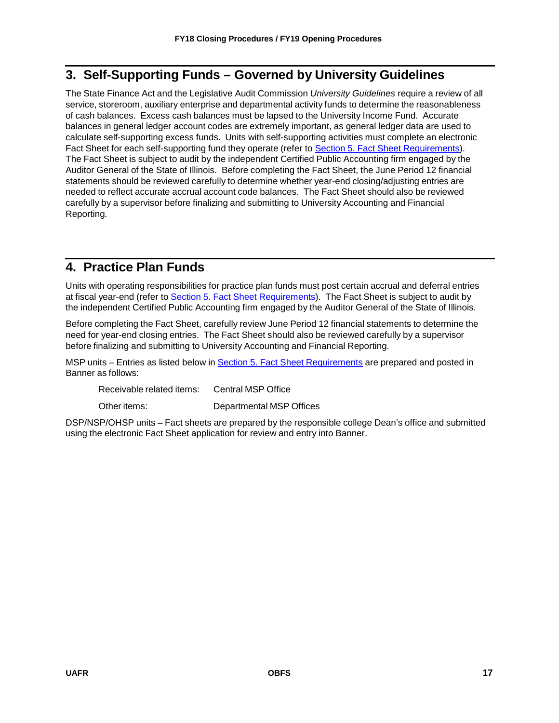# <span id="page-18-0"></span>**3. Self-Supporting Funds – Governed by University Guidelines**

The State Finance Act and the Legislative Audit Commission *University Guidelines* require a review of all service, storeroom, auxiliary enterprise and departmental activity funds to determine the reasonableness of cash balances. Excess cash balances must be lapsed to the University Income Fund. Accurate balances in general ledger account codes are extremely important, as general ledger data are used to calculate self-supporting excess funds. Units with self-supporting activities must complete an electronic Fact Sheet for each self-supporting fund they operate (refer to Section 5. Fact Sheet [Requirements\)](#page-19-0). The Fact Sheet is subject to audit by the independent Certified Public Accounting firm engaged by the Auditor General of the State of Illinois. Before completing the Fact Sheet, the June Period 12 financial statements should be reviewed carefully to determine whether year-end closing/adjusting entries are needed to reflect accurate accrual account code balances. The Fact Sheet should also be reviewed carefully by a supervisor before finalizing and submitting to University Accounting and Financial Reporting.

# <span id="page-18-1"></span>**4. Practice Plan Funds**

Units with operating responsibilities for practice plan funds must post certain accrual and deferral entries at fiscal year-end (refer to Section 5. Fact Sheet [Requirements\)](#page-19-0). The Fact Sheet is subject to audit by the independent Certified Public Accounting firm engaged by the Auditor General of the State of Illinois.

Before completing the Fact Sheet, carefully review June Period 12 financial statements to determine the need for year-end closing entries. The Fact Sheet should also be reviewed carefully by a supervisor before finalizing and submitting to University Accounting and Financial Reporting.

MSP units – Entries as listed below in Section 5. Fact Sheet [Requirements](#page-19-0) are prepared and posted in Banner as follows:

Receivable related items: Central MSP Office

Other items: Departmental MSP Offices

DSP/NSP/OHSP units – Fact sheets are prepared by the responsible college Dean's office and submitted using the electronic Fact Sheet application for review and entry into Banner.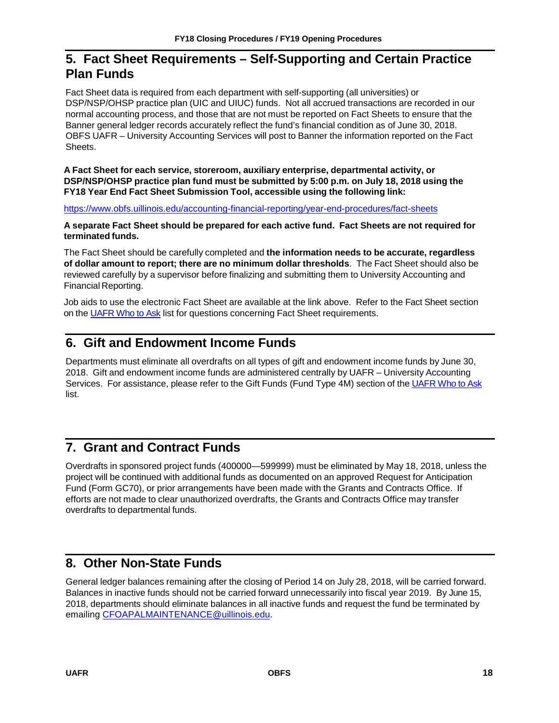# <span id="page-19-0"></span>**5. Fact Sheet Requirements – Self-Supporting and Certain Practice Plan Funds**

Fact Sheet data is required from each department with self-supporting (all universities) or DSP/NSP/OHSP practice plan (UIC and UIUC) funds. Not all accrued transactions are recorded in our normal accounting process, and those that are not must be reported on Fact Sheets to ensure that the Banner general ledger records accurately reflect the fund's financial condition as of June 30, 2018. OBFS UAFR – University Accounting Services will post to Banner the information reported on the Fact Sheets.

**A Fact Sheet for each service, storeroom, auxiliary enterprise, departmental activity, or DSP/NSP/OHSP practice plan fund must be submitted by 5:00 p.m. on July 18, 2018 using the FY18 Year End Fact Sheet Submission Tool, accessible using the following link:**

<https://www.obfs.uillinois.edu/accounting-financial-reporting/year-end-procedures/fact-sheets>

**A separate Fact Sheet should be prepared for each active fund. Fact Sheets are not required for terminated funds.**

The Fact Sheet should be carefully completed and **the information needs to be accurate, regardless of dollar amount to report; there are no minimum dollar thresholds**. The Fact Sheet should also be reviewed carefully by a supervisor before finalizing and submitting them to University Accounting and Financial Reporting.

Job aids to use the electronic Fact Sheet are available at the link above. Refer to the Fact Sheet section on the [UAFR Who to Ask](https://www.obfs.uillinois.edu/accounting-financial-reporting/who-to-ask/types-questions#fact-sheets) list for questions concerning Fact Sheet requirements.

# <span id="page-19-1"></span>**6. Gift and Endowment Income Funds**

Departments must eliminate all overdrafts on all types of gift and endowment income funds by June 30, 2018. Gift and endowment income funds are administered centrally by UAFR – University Accounting Services. For assistance, please refer to the Gift Funds (Fund Type 4M) section of the [UAFR Who to Ask](https://www.obfs.uillinois.edu/accounting-financial-reporting/who-to-ask/types-questions#gift-funds-4m) list.

# <span id="page-19-2"></span>**7. Grant and Contract Funds**

Overdrafts in sponsored project funds (400000—599999) must be eliminated by May 18, 2018, unless the project will be continued with additional funds as documented on an approved Request for Anticipation Fund (Form GC70), or prior arrangements have been made with the Grants and Contracts Office. If efforts are not made to clear unauthorized overdrafts, the Grants and Contracts Office may transfer overdrafts to departmental funds.

# <span id="page-19-3"></span>**8. Other Non-State Funds**

General ledger balances remaining after the closing of Period 14 on July 28, 2018, will be carried forward. Balances in inactive funds should not be carried forward unnecessarily into fiscal year 2019. By June 15, 2018, departments should eliminate balances in all inactive funds and request the fund be terminated by emailing [CFOAPALMAINTENANCE@uillinois.edu.](mailto:CFOAPALMAINTENANCE@uillinois.edu)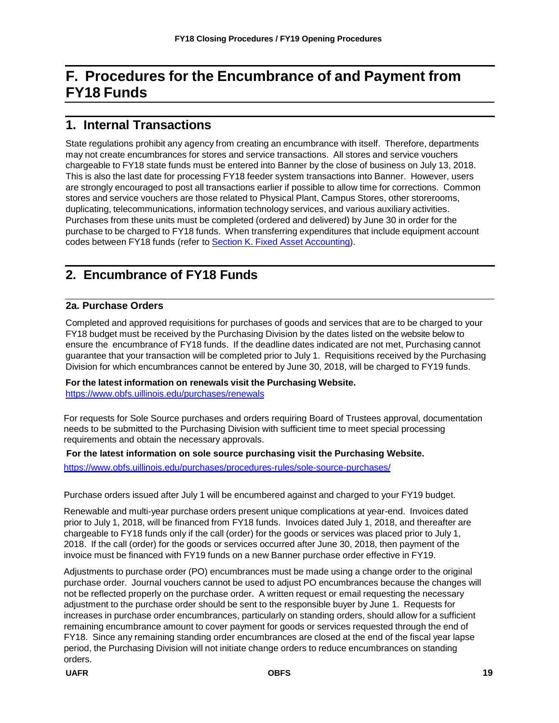# <span id="page-20-0"></span>**F. Procedures for the Encumbrance of and Payment from FY18 Funds**

# <span id="page-20-1"></span>**1. Internal Transactions**

State regulations prohibit any agency from creating an encumbrance with itself. Therefore, departments may not create encumbrances for stores and service transactions. All stores and service vouchers chargeable to FY18 state funds must be entered into Banner by the close of business on July 13, 2018. This is also the last date for processing FY18 feeder system transactions into Banner. However, users are strongly encouraged to post all transactions earlier if possible to allow time for corrections. Common stores and service vouchers are those related to Physical Plant, Campus Stores, other storerooms, duplicating, telecommunications, information technology services, and various auxiliary activities. Purchases from these units must be completed (ordered and delivered) by June 30 in order for the purchase to be charged to FY18 funds. When transferring expenditures that include equipment account codes between FY18 funds (refer to Section K. Fixed Asset [Accounting\)](#page-24-0).

# <span id="page-20-2"></span>**2. Encumbrance of FY18 Funds**

# **2a. Purchase Orders**

Completed and approved requisitions for purchases of goods and services that are to be charged to your FY18 budget must be received by the Purchasing Division by the dates listed on the website below to ensure the encumbrance of FY18 funds. If the deadline dates indicated are not met, Purchasing cannot guarantee that your transaction will be completed prior to July 1. Requisitions received by the Purchasing Division for which encumbrances cannot be entered by June 30, 2018, will be charged to FY19 funds.

**For the latest information on renewals visit the Purchasing Website.**

<https://www.obfs.uillinois.edu/purchases/renewals>

For requests for Sole Source purchases and orders requiring Board of Trustees approval, documentation needs to be submitted to the Purchasing Division with sufficient time to meet special processing requirements and obtain the necessary approvals.

#### **For the latest information on sole source purchasing visit the Purchasing Website.**

<https://www.obfs.uillinois.edu/purchases/procedures-rules/sole-source-purchases/>

Purchase orders issued after July 1 will be encumbered against and charged to your FY19 budget.

Renewable and multi-year purchase orders present unique complications at year-end. Invoices dated prior to July 1, 2018, will be financed from FY18 funds. Invoices dated July 1, 2018, and thereafter are chargeable to FY18 funds only if the call (order) for the goods or services was placed prior to July 1, 2018. If the call (order) for the goods or services occurred after June 30, 2018, then payment of the invoice must be financed with FY19 funds on a new Banner purchase order effective in FY19.

Adjustments to purchase order (PO) encumbrances must be made using a change order to the original purchase order. Journal vouchers cannot be used to adjust PO encumbrances because the changes will not be reflected properly on the purchase order. A written request or email requesting the necessary adjustment to the purchase order should be sent to the responsible buyer by June 1. Requests for increases in purchase order encumbrances, particularly on standing orders, should allow for a sufficient remaining encumbrance amount to cover payment for goods or services requested through the end of FY18. Since any remaining standing order encumbrances are closed at the end of the fiscal year lapse period, the Purchasing Division will not initiate change orders to reduce encumbrances on standing orders.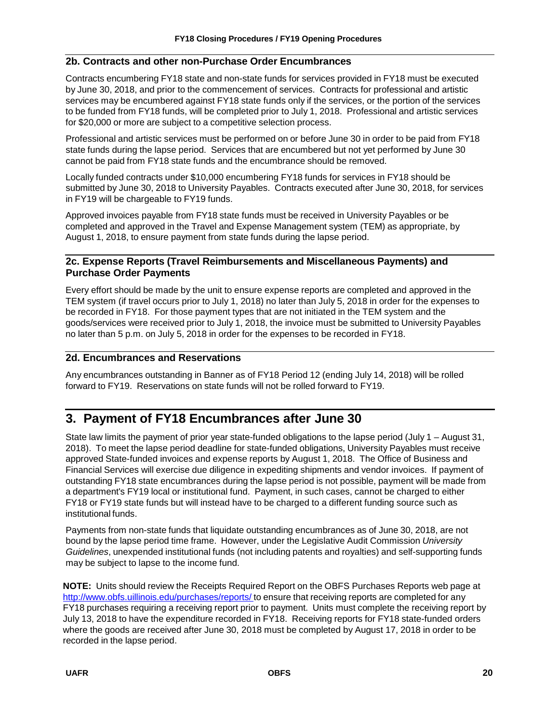# **2b. Contracts and other non-Purchase Order Encumbrances**

Contracts encumbering FY18 state and non-state funds for services provided in FY18 must be executed by June 30, 2018, and prior to the commencement of services. Contracts for professional and artistic services may be encumbered against FY18 state funds only if the services, or the portion of the services to be funded from FY18 funds, will be completed prior to July 1, 2018. Professional and artistic services for \$20,000 or more are subject to a competitive selection process.

Professional and artistic services must be performed on or before June 30 in order to be paid from FY18 state funds during the lapse period. Services that are encumbered but not yet performed by June 30 cannot be paid from FY18 state funds and the encumbrance should be removed.

Locally funded contracts under \$10,000 encumbering FY18 funds for services in FY18 should be submitted by June 30, 2018 to University Payables. Contracts executed after June 30, 2018, for services in FY19 will be chargeable to FY19 funds.

Approved invoices payable from FY18 state funds must be received in University Payables or be completed and approved in the Travel and Expense Management system (TEM) as appropriate, by August 1, 2018, to ensure payment from state funds during the lapse period.

# **2c. Expense Reports (Travel Reimbursements and Miscellaneous Payments) and Purchase Order Payments**

Every effort should be made by the unit to ensure expense reports are completed and approved in the TEM system (if travel occurs prior to July 1, 2018) no later than July 5, 2018 in order for the expenses to be recorded in FY18. For those payment types that are not initiated in the TEM system and the goods/services were received prior to July 1, 2018, the invoice must be submitted to University Payables no later than 5 p.m. on July 5, 2018 in order for the expenses to be recorded in FY18.

# **2d. Encumbrances and Reservations**

Any encumbrances outstanding in Banner as of FY18 Period 12 (ending July 14, 2018) will be rolled forward to FY19. Reservations on state funds will not be rolled forward to FY19.

# <span id="page-21-0"></span>**3. Payment of FY18 Encumbrances after June 30**

State law limits the payment of prior year state-funded obligations to the lapse period (July 1 – August 31, 2018). To meet the lapse period deadline for state-funded obligations, University Payables must receive approved State-funded invoices and expense reports by August 1, 2018. The Office of Business and Financial Services will exercise due diligence in expediting shipments and vendor invoices. If payment of outstanding FY18 state encumbrances during the lapse period is not possible, payment will be made from a department's FY19 local or institutional fund. Payment, in such cases, cannot be charged to either FY18 or FY19 state funds but will instead have to be charged to a different funding source such as institutional funds.

Payments from non-state funds that liquidate outstanding encumbrances as of June 30, 2018, are not bound by the lapse period time frame. However, under the Legislative Audit Commission *University Guidelines*, unexpended institutional funds (not including patents and royalties) and self-supporting funds may be subject to lapse to the income fund.

**NOTE:** Units should review the Receipts Required Report on the OBFS Purchases Reports web page at <http://www.obfs.uillinois.edu/purchases/reports/> to ensure that receiving reports are completed for any FY18 purchases requiring a receiving report prior to payment. Units must complete the receiving report by July 13, 2018 to have the expenditure recorded in FY18. Receiving reports for FY18 state-funded orders where the goods are received after June 30, 2018 must be completed by August 17, 2018 in order to be recorded in the lapse period.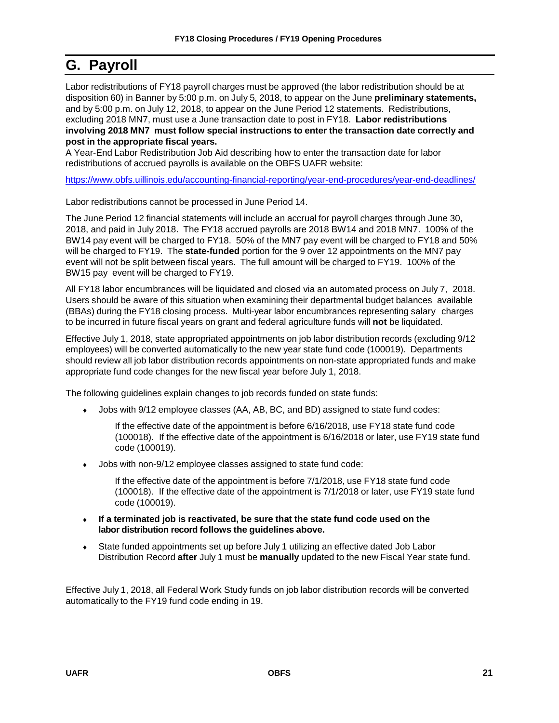# <span id="page-22-0"></span>**G. Payroll**

Labor redistributions of FY18 payroll charges must be approved (the labor redistribution should be at disposition 60) in Banner by 5:00 p.m. on July 5, 2018, to appear on the June **preliminary statements,** and by 5:00 p.m. on July 12, 2018, to appear on the June Period 12 statements. Redistributions, excluding 2018 MN7, must use a June transaction date to post in FY18. **Labor redistributions involving 2018 MN7 must follow special instructions to enter the transaction date correctly and post in the appropriate fiscal years.**

A Year-End Labor Redistribution Job Aid describing how to enter the transaction date for labor redistributions of accrued payrolls is available on the OBFS UAFR website:

<https://www.obfs.uillinois.edu/accounting-financial-reporting/year-end-procedures/year-end-deadlines/>

Labor redistributions cannot be processed in June Period 14.

The June Period 12 financial statements will include an accrual for payroll charges through June 30, 2018, and paid in July 2018. The FY18 accrued payrolls are 2018 BW14 and 2018 MN7. 100% of the BW14 pay event will be charged to FY18. 50% of the MN7 pay event will be charged to FY18 and 50% will be charged to FY19. The **state-funded** portion for the 9 over 12 appointments on the MN7 pay event will not be split between fiscal years. The full amount will be charged to FY19. 100% of the BW15 pay event will be charged to FY19.

All FY18 labor encumbrances will be liquidated and closed via an automated process on July 7, 2018. Users should be aware of this situation when examining their departmental budget balances available (BBAs) during the FY18 closing process. Multi-year labor encumbrances representing salary charges to be incurred in future fiscal years on grant and federal agriculture funds will **not** be liquidated.

Effective July 1, 2018, state appropriated appointments on job labor distribution records (excluding 9/12 employees) will be converted automatically to the new year state fund code (100019). Departments should review all job labor distribution records appointments on non-state appropriated funds and make appropriate fund code changes for the new fiscal year before July 1, 2018.

The following guidelines explain changes to job records funded on state funds:

• Jobs with 9/12 employee classes (AA, AB, BC, and BD) assigned to state fund codes:

If the effective date of the appointment is before 6/16/2018, use FY18 state fund code (100018). If the effective date of the appointment is 6/16/2018 or later, use FY19 state fund code (100019).

Jobs with non-9/12 employee classes assigned to state fund code:

If the effective date of the appointment is before 7/1/2018, use FY18 state fund code (100018). If the effective date of the appointment is 7/1/2018 or later, use FY19 state fund code (100019).

- ♦ **If a terminated job is reactivated, be sure that the state fund code used on the labor distribution record follows the guidelines above.**
- State funded appointments set up before July 1 utilizing an effective dated Job Labor Distribution Record **after** July 1 must be **manually** updated to the new Fiscal Year state fund.

Effective July 1, 2018, all Federal Work Study funds on job labor distribution records will be converted automatically to the FY19 fund code ending in 19.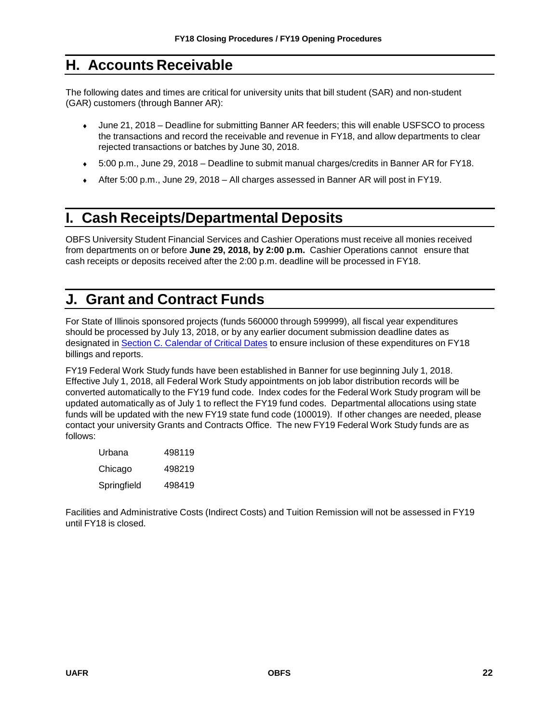# <span id="page-23-0"></span>**H. Accounts Receivable**

The following dates and times are critical for university units that bill student (SAR) and non-student (GAR) customers (through Banner AR):

- ♦ June 21, 2018 Deadline for submitting Banner AR feeders; this will enable USFSCO to process the transactions and record the receivable and revenue in FY18, and allow departments to clear rejected transactions or batches by June 30, 2018.
- ♦ 5:00 p.m., June 29, 2018 Deadline to submit manual charges/credits in Banner AR for FY18.
- ♦ After 5:00 p.m., June 29, 2018 All charges assessed in Banner AR will post in FY19.

# <span id="page-23-1"></span>**I. Cash Receipts/Departmental Deposits**

OBFS University Student Financial Services and Cashier Operations must receive all monies received from departments on or before **June 29, 2018, by 2:00 p.m.** Cashier Operations cannot ensure that cash receipts or deposits received after the 2:00 p.m. deadline will be processed in FY18.

# <span id="page-23-2"></span>**J. Grant and Contract Funds**

For State of Illinois sponsored projects (funds 560000 through 599999), all fiscal year expenditures should be processed by July 13, 2018, or by any earlier document submission deadline dates as designated in Section C. [Calendar](#page-6-0) of Critical Dates to ensure inclusion of these expenditures on FY18 billings and reports.

FY19 Federal Work Study funds have been established in Banner for use beginning July 1, 2018. Effective July 1, 2018, all Federal Work Study appointments on job labor distribution records will be converted automatically to the FY19 fund code. Index codes for the Federal Work Study program will be updated automatically as of July 1 to reflect the FY19 fund codes. Departmental allocations using state funds will be updated with the new FY19 state fund code (100019). If other changes are needed, please contact your university Grants and Contracts Office. The new FY19 Federal Work Study funds are as follows:

| Urbana      | 498119 |
|-------------|--------|
| Chicago     | 498219 |
| Springfield | 498419 |

Facilities and Administrative Costs (Indirect Costs) and Tuition Remission will not be assessed in FY19 until FY18 is closed.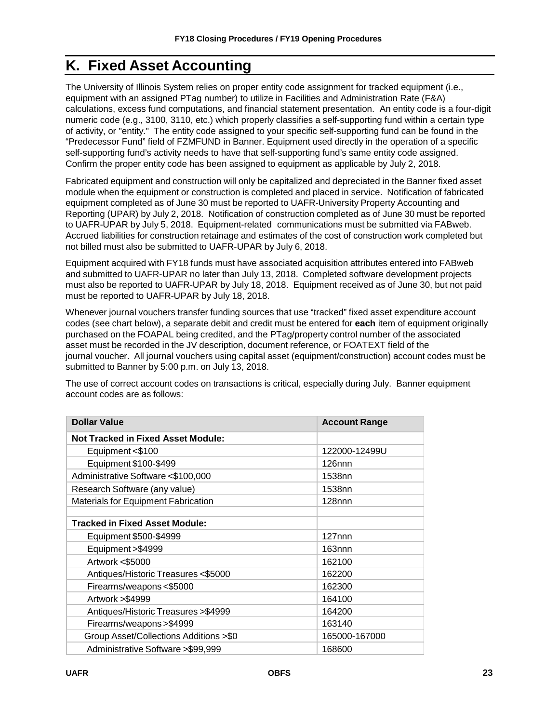# <span id="page-24-0"></span>**K. Fixed Asset Accounting**

The University of Illinois System relies on proper entity code assignment for tracked equipment (i.e., equipment with an assigned PTag number) to utilize in Facilities and Administration Rate (F&A) calculations, excess fund computations, and financial statement presentation. An entity code is a four-digit numeric code (e.g., 3100, 3110, etc.) which properly classifies a self-supporting fund within a certain type of activity, or "entity." The entity code assigned to your specific self-supporting fund can be found in the "Predecessor Fund" field of FZMFUND in Banner. Equipment used directly in the operation of a specific self-supporting fund's activity needs to have that self-supporting fund's same entity code assigned. Confirm the proper entity code has been assigned to equipment as applicable by July 2, 2018.

Fabricated equipment and construction will only be capitalized and depreciated in the Banner fixed asset module when the equipment or construction is completed and placed in service. Notification of fabricated equipment completed as of June 30 must be reported to UAFR-University Property Accounting and Reporting (UPAR) by July 2, 2018. Notification of construction completed as of June 30 must be reported to UAFR-UPAR by July 5, 2018. Equipment-related communications must be submitted via FABweb. Accrued liabilities for construction retainage and estimates of the cost of construction work completed but not billed must also be submitted to UAFR-UPAR by July 6, 2018.

Equipment acquired with FY18 funds must have associated acquisition attributes entered into FABweb and submitted to UAFR-UPAR no later than July 13, 2018. Completed software development projects must also be reported to UAFR-UPAR by July 18, 2018. Equipment received as of June 30, but not paid must be reported to UAFR-UPAR by July 18, 2018.

Whenever journal vouchers transfer funding sources that use "tracked" fixed asset expenditure account codes (see chart below), a separate debit and credit must be entered for **each** item of equipment originally purchased on the FOAPAL being credited, and the PTag/property control number of the associated asset must be recorded in the JV description, document reference, or FOATEXT field of the journal voucher. All journal vouchers using capital asset (equipment/construction) account codes must be submitted to Banner by 5:00 p.m. on July 13, 2018.

The use of correct account codes on transactions is critical, especially during July. Banner equipment account codes are as follows:

| <b>Dollar Value</b>                        | <b>Account Range</b> |
|--------------------------------------------|----------------------|
| <b>Not Tracked in Fixed Asset Module:</b>  |                      |
| Equipment <\$100                           | 122000-12499U        |
| Equipment \$100-\$499                      | $126$ nnn            |
| Administrative Software <\$100,000         | 1538nn               |
| Research Software (any value)              | 1538nn               |
| <b>Materials for Equipment Fabrication</b> | $128$ nnn            |
|                                            |                      |
| <b>Tracked in Fixed Asset Module:</b>      |                      |
| Equipment \$500-\$4999                     | $127$ nnn            |
| Equipment > \$4999                         | 163nnn               |
| Artwork <\$5000                            | 162100               |
| Antiques/Historic Treasures <\$5000        | 162200               |
| Firearms/weapons <\$5000                   | 162300               |
| Artwork > \$4999                           | 164100               |
| Antiques/Historic Treasures > \$4999       | 164200               |
| Firearms/weapons > \$4999                  | 163140               |
| Group Asset/Collections Additions >\$0     | 165000-167000        |
| Administrative Software > \$99,999         | 168600               |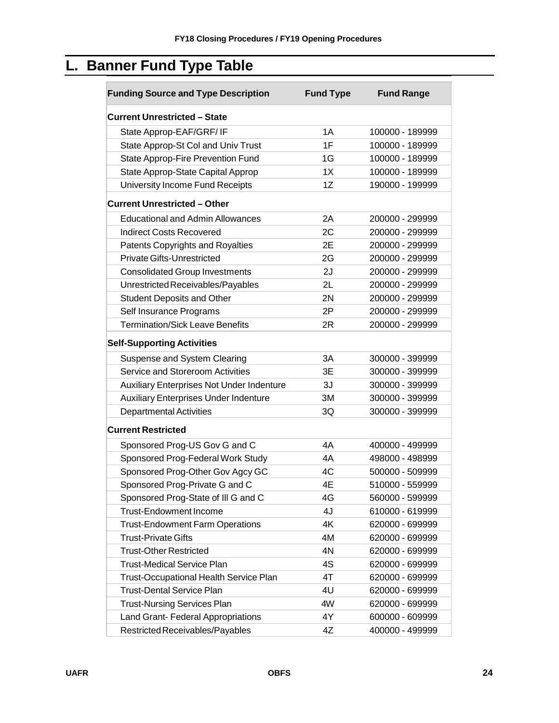# <span id="page-25-0"></span>**L. Banner Fund Type Table**

| <b>Funding Source and Type Description</b>    | <b>Fund Type</b> | <b>Fund Range</b> |
|-----------------------------------------------|------------------|-------------------|
| <b>Current Unrestricted - State</b>           |                  |                   |
| State Approp-EAF/GRF/IF                       | 1A               | 100000 - 189999   |
| State Approp-St Col and Univ Trust            | 1F               | 100000 - 189999   |
| State Approp-Fire Prevention Fund             | 1G               | 100000 - 189999   |
| State Approp-State Capital Approp             | 1X               | 100000 - 189999   |
| University Income Fund Receipts               | 1Z               | 190000 - 199999   |
| <b>Current Unrestricted - Other</b>           |                  |                   |
| <b>Educational and Admin Allowances</b>       | 2A               | 200000 - 299999   |
| <b>Indirect Costs Recovered</b>               | 2C               | 200000 - 299999   |
| <b>Patents Copyrights and Royalties</b>       | 2E               | 200000 - 299999   |
| <b>Private Gifts-Unrestricted</b>             | 2G               | 200000 - 299999   |
| <b>Consolidated Group Investments</b>         | 2J               | 200000 - 299999   |
| Unrestricted Receivables/Payables             | 2L               | 200000 - 299999   |
| <b>Student Deposits and Other</b>             | 2N               | 200000 - 299999   |
| Self Insurance Programs                       | 2P               | 200000 - 299999   |
| <b>Termination/Sick Leave Benefits</b>        | 2R               | 200000 - 299999   |
| <b>Self-Supporting Activities</b>             |                  |                   |
| Suspense and System Clearing                  | 3A               | 300000 - 399999   |
| Service and Storeroom Activities              | 3E               | 300000 - 399999   |
| Auxiliary Enterprises Not Under Indenture     | 3J               | 300000 - 399999   |
| <b>Auxiliary Enterprises Under Indenture</b>  | 3M               | 300000 - 399999   |
| <b>Departmental Activities</b>                | 3Q               | 300000 - 399999   |
| <b>Current Restricted</b>                     |                  |                   |
| Sponsored Prog-US Gov G and C                 | 4A               | 400000 - 499999   |
| Sponsored Prog-Federal Work Study             | 4A               | 498000 - 498999   |
| Sponsored Prog-Other Gov Agcy GC              | 4C               | 500000 - 509999   |
| Sponsored Prog-Private G and C                | 4E               | 510000 - 559999   |
| Sponsored Prog-State of III G and C           | 4G               | 560000 - 599999   |
| <b>Trust-Endowment Income</b>                 | 4J               | 610000 - 619999   |
| <b>Trust-Endowment Farm Operations</b>        | 4K               | 620000 - 699999   |
| <b>Trust-Private Gifts</b>                    | 4M               | 620000 - 699999   |
| <b>Trust-Other Restricted</b>                 | 4N               | 620000 - 699999   |
| <b>Trust-Medical Service Plan</b>             | 4S               | 620000 - 699999   |
| <b>Trust-Occupational Health Service Plan</b> | 4T               | 620000 - 699999   |
| <b>Trust-Dental Service Plan</b>              | 4U               | 620000 - 699999   |
| <b>Trust-Nursing Services Plan</b>            | 4W               | 620000 - 699999   |
| Land Grant- Federal Appropriations            | 4Y               | 600000 - 609999   |
| Restricted Receivables/Payables               | 4Z               | 400000 - 499999   |